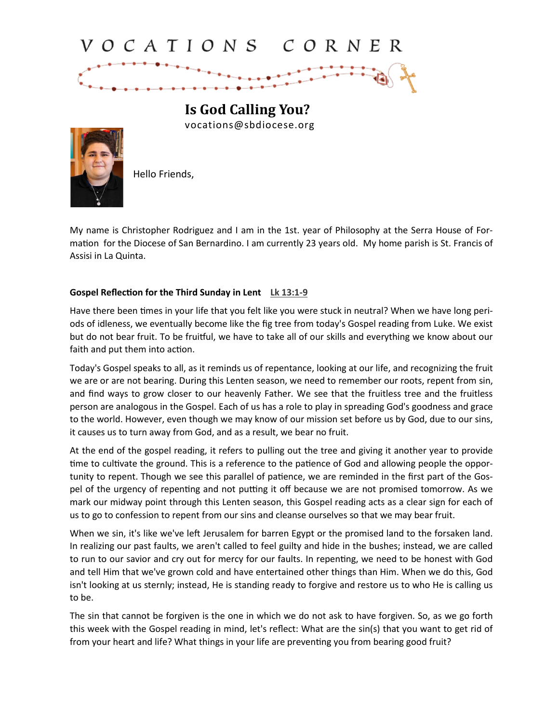## VOCATIONS CORNER

**Is God Calling You?** vocations@sbdiocese.org



Hello Friends,

My name is Christopher Rodriguez and I am in the 1st. year of Philosophy at the Serra House of Formation for the Diocese of San Bernardino. I am currently 23 years old. My home parish is St. Francis of Assisi in La Quinta.

## **Gospel Reflection for the Third Sunday in Lent [Lk 13:1](https://bible.usccb.org/bible/luke/13?1)-9**

Have there been times in your life that you felt like you were stuck in neutral? When we have long periods of idleness, we eventually become like the fig tree from today's Gospel reading from Luke. We exist but do not bear fruit. To be fruitful, we have to take all of our skills and everything we know about our faith and put them into action.

Today's Gospel speaks to all, as it reminds us of repentance, looking at our life, and recognizing the fruit we are or are not bearing. During this Lenten season, we need to remember our roots, repent from sin, and find ways to grow closer to our heavenly Father. We see that the fruitless tree and the fruitless person are analogous in the Gospel. Each of us has a role to play in spreading God's goodness and grace to the world. However, even though we may know of our mission set before us by God, due to our sins, it causes us to turn away from God, and as a result, we bear no fruit.

At the end of the gospel reading, it refers to pulling out the tree and giving it another year to provide time to cultivate the ground. This is a reference to the patience of God and allowing people the opportunity to repent. Though we see this parallel of patience, we are reminded in the first part of the Gospel of the urgency of repenting and not putting it off because we are not promised tomorrow. As we mark our midway point through this Lenten season, this Gospel reading acts as a clear sign for each of us to go to confession to repent from our sins and cleanse ourselves so that we may bear fruit.

When we sin, it's like we've left Jerusalem for barren Egypt or the promised land to the forsaken land. In realizing our past faults, we aren't called to feel guilty and hide in the bushes; instead, we are called to run to our savior and cry out for mercy for our faults. In repenting, we need to be honest with God and tell Him that we've grown cold and have entertained other things than Him. When we do this, God isn't looking at us sternly; instead, He is standing ready to forgive and restore us to who He is calling us to be.

The sin that cannot be forgiven is the one in which we do not ask to have forgiven. So, as we go forth this week with the Gospel reading in mind, let's reflect: What are the sin(s) that you want to get rid of from your heart and life? What things in your life are preventing you from bearing good fruit?